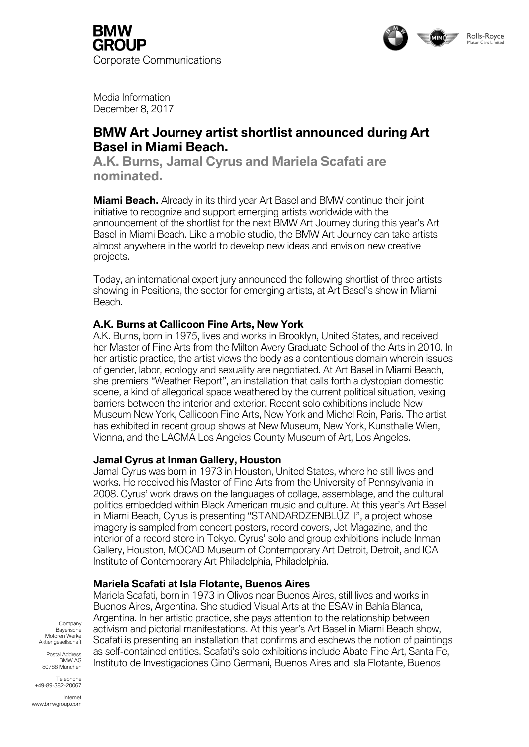



Media Information December 8, 2017

# **BMW Art Journey artist shortlist announced during Art Basel in Miami Beach.**

**A.K. Burns, Jamal Cyrus and Mariela Scafati are nominated.**

**Miami Beach.** Already in its third year Art Basel and BMW continue their joint initiative to recognize and support emerging artists worldwide with the announcement of the shortlist for the next BMW Art Journey during this year's Art Basel in Miami Beach. Like a mobile studio, the BMW Art Journey can take artists almost anywhere in the world to develop new ideas and envision new creative projects.

Today, an international expert jury announced the following shortlist of three artists showing in Positions, the sector for emerging artists, at Art Basel's show in Miami Beach.

# **A.K. Burns at Callicoon Fine Arts, New York**

A.K. Burns, born in 1975, lives and works in Brooklyn, United States, and received her Master of Fine Arts from the Milton Avery Graduate School of the Arts in 2010. In her artistic practice, the artist views the body as a contentious domain wherein issues of gender, labor, ecology and sexuality are negotiated. At Art Basel in Miami Beach, she premiers "Weather Report", an installation that calls forth a dystopian domestic scene, a kind of allegorical space weathered by the current political situation, vexing barriers between the interior and exterior. Recent solo exhibitions include New Museum New York, Callicoon Fine Arts, New York and Michel Rein, Paris. The artist has exhibited in recent group shows at New Museum, New York, Kunsthalle Wien, Vienna, and the LACMA Los Angeles County Museum of Art, Los Angeles.

## **Jamal Cyrus at Inman Gallery, Houston**

Jamal Cyrus was born in 1973 in Houston, United States, where he still lives and works. He received his Master of Fine Arts from the University of Pennsylvania in 2008. Cyrus' work draws on the languages of collage, assemblage, and the cultural politics embedded within Black American music and culture. At this year's Art Basel in Miami Beach, Cyrus is presenting "STANDARDZENBLŪZ II", a project whose imagery is sampled from concert posters, record covers, Jet Magazine, and the interior of a record store in Tokyo. Cyrus' solo and group exhibitions include Inman Gallery, Houston, MOCAD Museum of Contemporary Art Detroit, Detroit, and ICA Institute of Contemporary Art Philadelphia, Philadelphia.

## **Mariela Scafati at Isla Flotante, Buenos Aires**

Mariela Scafati, born in 1973 in Olivos near Buenos Aires, still lives and works in Buenos Aires, Argentina. She studied Visual Arts at the ESAV in Bahía Blanca, Argentina. In her artistic practice, she pays attention to the relationship between activism and pictorial manifestations. At this year's Art Basel in Miami Beach show, Scafati is presenting an installation that confirms and eschews the notion of paintings as self-contained entities. Scafati's solo exhibitions include Abate Fine Art, Santa Fe, Instituto de Investigaciones Gino Germani, Buenos Aires and Isla Flotante, Buenos

Company Bayerische Motoren Werke Aktiengesellschaft

Postal Address BMW AG 80788 München

**Telephone** +49-89-382-20067

Internet www.bmwgroup.com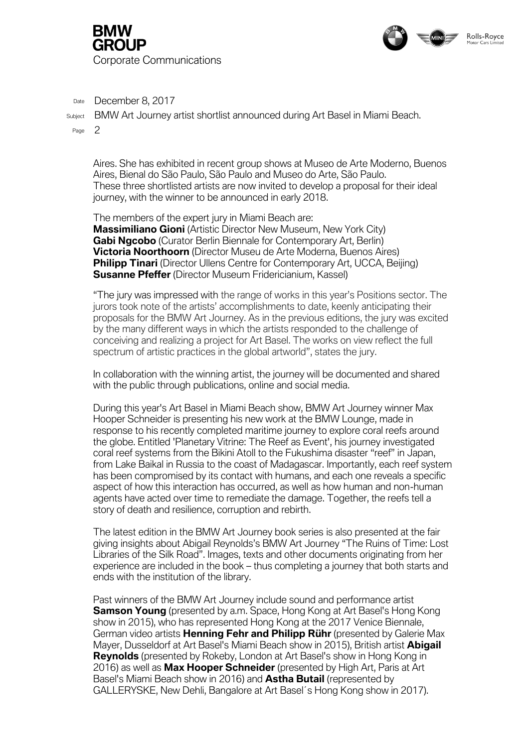



Date December 8, 2017

Subject BMW Art Journey artist shortlist announced during Art Basel in Miami Beach.

Page 2

Aires. She has exhibited in recent group shows at Museo de Arte Moderno, Buenos Aires, Bienal do São Paulo, São Paulo and Museo do Arte, São Paulo. These three shortlisted artists are now invited to develop a proposal for their ideal journey, with the winner to be announced in early 2018.

The members of the expert jury in Miami Beach are: **Massimiliano Gioni** (Artistic Director New Museum, New York City) **Gabi Ngcobo** (Curator Berlin Biennale for Contemporary Art, Berlin) **Victoria Noorthoorn** (Director Museu de Arte Moderna, Buenos Aires) **Philipp Tinari** (Director Ullens Centre for Contemporary Art, UCCA, Beijing) **Susanne Pfeffer** (Director Museum Fridericianium, Kassel)

"The jury was impressed with the range of works in this year's Positions sector. The jurors took note of the artists' accomplishments to date, keenly anticipating their proposals for the BMW Art Journey. As in the previous editions, the jury was excited by the many different ways in which the artists responded to the challenge of conceiving and realizing a project for Art Basel. The works on view reflect the full spectrum of artistic practices in the global artworld", states the jury.

In collaboration with the winning artist, the journey will be documented and shared with the public through publications, online and social media.

During this year's Art Basel in Miami Beach show, BMW Art Journey winner Max Hooper Schneider is presenting his new work at the BMW Lounge, made in response to his recently completed maritime journey to explore coral reefs around the globe. Entitled 'Planetary Vitrine: The Reef as Event', his journey investigated coral reef systems from the Bikini Atoll to the Fukushima disaster "reef" in Japan, from Lake Baikal in Russia to the coast of Madagascar. Importantly, each reef system has been compromised by its contact with humans, and each one reveals a specific aspect of how this interaction has occurred, as well as how human and non-human agents have acted over time to remediate the damage. Together, the reefs tell a story of death and resilience, corruption and rebirth.

The latest edition in the BMW Art Journey book series is also presented at the fair giving insights about Abigail Reynolds's BMW Art Journey "The Ruins of Time: Lost Libraries of the Silk Road". Images, texts and other documents originating from her experience are included in the book – thus completing a journey that both starts and ends with the institution of the library.

Past winners of the BMW Art Journey include sound and performance artist **Samson Young** (presented by a.m. Space, Hong Kong at Art Basel's Hong Kong show in 2015), who has represented Hong Kong at the 2017 Venice Biennale, German video artists **Henning Fehr and Philipp Rühr** (presented by Galerie Max Mayer, Dusseldorf at Art Basel's Miami Beach show in 2015), British artist **Abigail Reynolds** (presented by Rokeby, London at Art Basel's show in Hong Kong in 2016) as well as **Max Hooper Schneider** (presented by High Art, Paris at Art Basel's Miami Beach show in 2016) and **Astha Butail** (represented by GALLERYSKE, New Dehli, Bangalore at Art Basel´s Hong Kong show in 2017).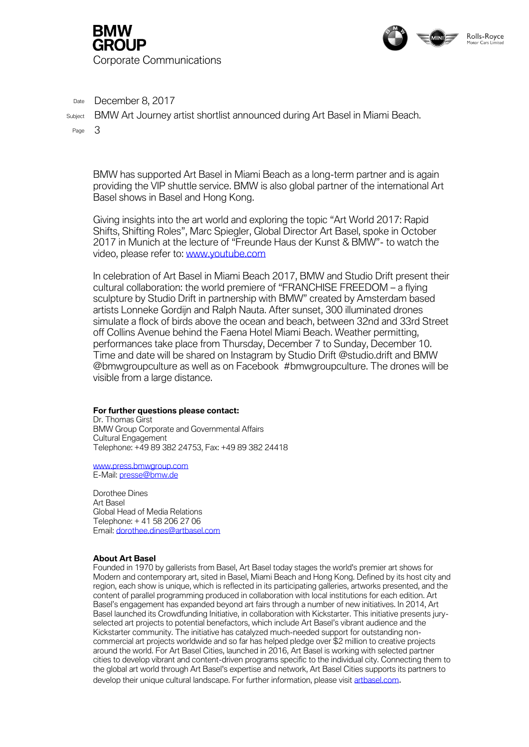



Date December 8, 2017

Subject BMW Art Journey artist shortlist announced during Art Basel in Miami Beach.

Page 3

BMW has supported Art Basel in Miami Beach as a long-term partner and is again providing the VIP shuttle service. BMW is also global partner of the international Art Basel shows in Basel and Hong Kong.

Giving insights into the art world and exploring the topic "Art World 2017: Rapid Shifts, Shifting Roles", Marc Spiegler, Global Director Art Basel, spoke in October 2017 in Munich at the lecture of "Freunde Haus der Kunst & BMW"- to watch the video, please refer to: [www.youtube.com](https://www.youtube.com/watch?v=qvhKRhaXWuo&feature=youtu.be)

In celebration of Art Basel in Miami Beach 2017, BMW and Studio Drift present their cultural collaboration: the world premiere of "FRANCHISE FREEDOM – a flying sculpture by Studio Drift in partnership with BMW" created by Amsterdam based artists Lonneke Gordijn and Ralph Nauta. After sunset, 300 illuminated drones simulate a flock of birds above the ocean and beach, between 32nd and 33rd Street off Collins Avenue behind the Faena Hotel Miami Beach. Weather permitting, performances take place from Thursday, December 7 to Sunday, December 10. Time and date will be shared on Instagram by Studio Drift @studio.drift and BMW @bmwgroupculture as well as on Facebook #bmwgroupculture. The drones will be visible from a large distance.

#### **For further questions please contact:**

Dr. Thomas Girst BMW Group Corporate and Governmental Affairs Cultural Engagement Telephone: +49 89 382 24753, Fax: +49 89 382 24418

[www.press.bmwgroup.com](http://intra.haebmau.de/kunde/bmwkultur/Docs/Projekt/2017/BMW%20Art%20Car%2018_Weltpremiere/PM/www.press.bmwgroup.com) E-Mail[: presse@bmw.de](mailto:presse@bmw.de)

Dorothee Dines Art Basel Global Head of Media Relations Telephone: + 41 58 206 27 06 Email: [dorothee.dines@artbasel.com](mailto:dorothee.dines@artbasel.com)

#### *About Art Basel*

*Founded in 1970 by gallerists from Basel, Art Basel today stages the world's premier art shows for Modern and contemporary art, sited in Basel, Miami Beach and Hong Kong. Defined by its host city and region, each show is unique, which is reflected in its participating galleries, artworks presented, and the content of parallel programming produced in collaboration with local institutions for each edition. Art Basel's engagement has expanded beyond art fairs through a number of new initiatives. In 2014, Art Basel launched its Crowdfunding Initiative, in collaboration with Kickstarter. This initiative presents juryselected art projects to potential benefactors, which include Art Basel's vibrant audience and the Kickstarter community. The initiative has catalyzed much-needed support for outstanding noncommercial art projects worldwide and so far has helped pledge over \$2 million to creative projects around the world. For Art Basel Cities, launched in 2016, Art Basel is working with selected partner cities to develop vibrant and content-driven programs specific to the individual city. Connecting them to the global art world through Art Basel's expertise and network, Art Basel Cities supports its partners to develop their unique cultural landscape. For further information, please visit [artbasel.com](https://www.artbasel.com/).*